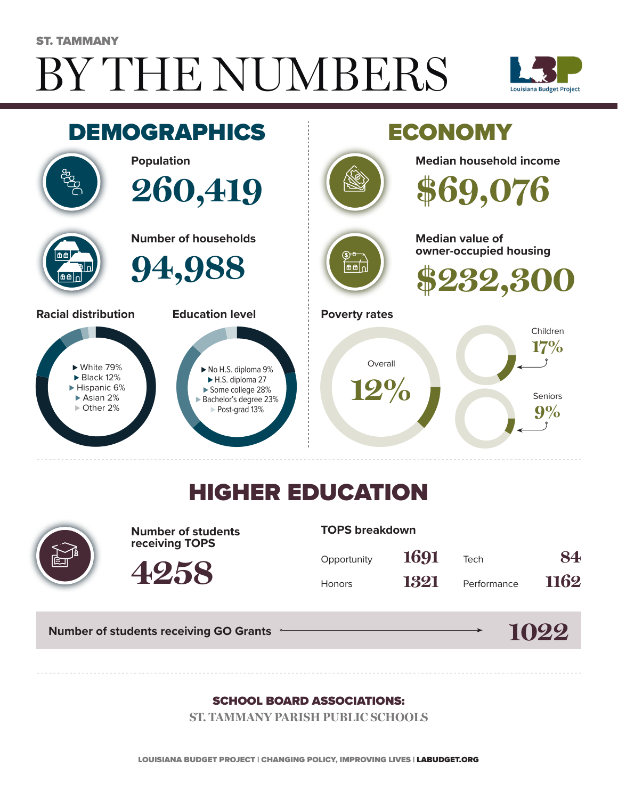# BY THE NUMBERS ST. TAMMANY





## HIGHER EDUCATION



**Number of students receiving TOPS**

**4258**

#### **TOPS breakdown**

| Opportunity   | 1691 | Tech        | 84   |
|---------------|------|-------------|------|
| <b>Honors</b> | 1321 | Performance | 1162 |

**Number of students receiving GO Grants**

#### **1022**

#### SCHOOL BOARD ASSOCIATIONS:

**ST. TAMMANY PARISH PUBLIC SCHOOLS**